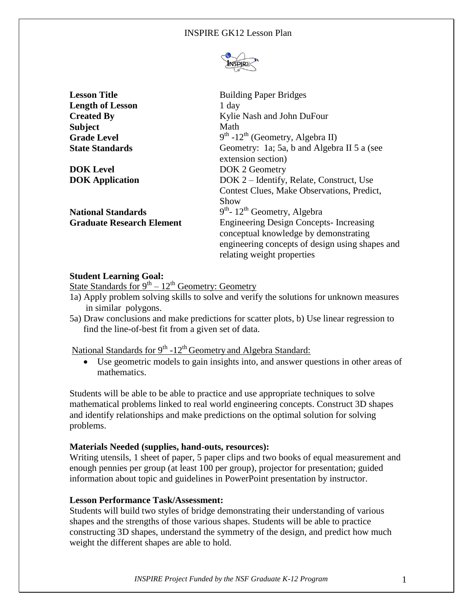

| <b>Lesson Title</b>              | <b>Building Paper Bridges</b>                                                                                                                                           |  |
|----------------------------------|-------------------------------------------------------------------------------------------------------------------------------------------------------------------------|--|
| <b>Length of Lesson</b>          | 1 day                                                                                                                                                                   |  |
| <b>Created By</b>                | Kylie Nash and John DuFour                                                                                                                                              |  |
| <b>Subject</b>                   | Math                                                                                                                                                                    |  |
| <b>Grade Level</b>               | $9th$ -12 <sup>th</sup> (Geometry, Algebra II)                                                                                                                          |  |
| <b>State Standards</b>           | Geometry: 1a; 5a, b and Algebra II 5 a (see<br>extension section)                                                                                                       |  |
| <b>DOK Level</b>                 | DOK 2 Geometry                                                                                                                                                          |  |
| <b>DOK</b> Application           | DOK 2 – Identify, Relate, Construct, Use<br>Contest Clues, Make Observations, Predict,<br>Show                                                                          |  |
| <b>National Standards</b>        | $9th$ - 12 <sup>th</sup> Geometry, Algebra                                                                                                                              |  |
| <b>Graduate Research Element</b> | <b>Engineering Design Concepts-Increasing</b><br>conceptual knowledge by demonstrating<br>engineering concepts of design using shapes and<br>relating weight properties |  |

# **Student Learning Goal:**

State Standards for  $9^{th} - 12^{th}$  Geometry: Geometry

- 1a) Apply problem solving skills to solve and verify the solutions for unknown measures in similar polygons.
- 5a) Draw conclusions and make predictions for scatter plots, b) Use linear regression to find the line-of-best fit from a given set of data.

National Standards for 9<sup>th</sup> -12<sup>th</sup> Geometry and Algebra Standard:

 Use geometric models to gain insights into, and answer questions in other areas of mathematics.

Students will be able to be able to practice and use appropriate techniques to solve mathematical problems linked to real world engineering concepts. Construct 3D shapes and identify relationships and make predictions on the optimal solution for solving problems.

### **Materials Needed (supplies, hand-outs, resources):**

Writing utensils, 1 sheet of paper, 5 paper clips and two books of equal measurement and enough pennies per group (at least 100 per group), projector for presentation; guided information about topic and guidelines in PowerPoint presentation by instructor.

### **Lesson Performance Task/Assessment:**

Students will build two styles of bridge demonstrating their understanding of various shapes and the strengths of those various shapes. Students will be able to practice constructing 3D shapes, understand the symmetry of the design, and predict how much weight the different shapes are able to hold.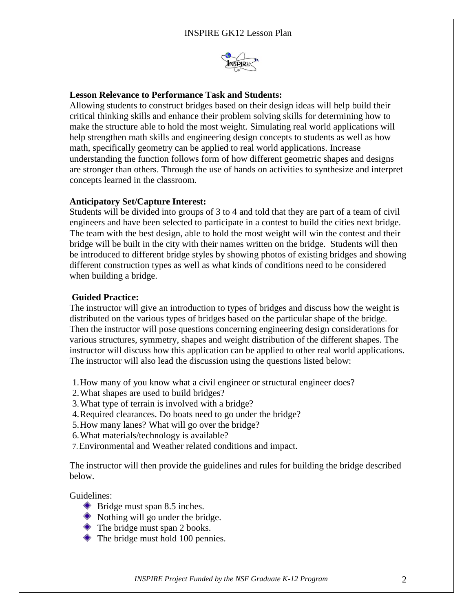

## **Lesson Relevance to Performance Task and Students:**

Allowing students to construct bridges based on their design ideas will help build their critical thinking skills and enhance their problem solving skills for determining how to make the structure able to hold the most weight. Simulating real world applications will help strengthen math skills and engineering design concepts to students as well as how math, specifically geometry can be applied to real world applications. Increase understanding the function follows form of how different geometric shapes and designs are stronger than others. Through the use of hands on activities to synthesize and interpret concepts learned in the classroom.

#### **Anticipatory Set/Capture Interest:**

Students will be divided into groups of 3 to 4 and told that they are part of a team of civil engineers and have been selected to participate in a contest to build the cities next bridge. The team with the best design, able to hold the most weight will win the contest and their bridge will be built in the city with their names written on the bridge. Students will then be introduced to different bridge styles by showing photos of existing bridges and showing different construction types as well as what kinds of conditions need to be considered when building a bridge.

### **Guided Practice:**

The instructor will give an introduction to types of bridges and discuss how the weight is distributed on the various types of bridges based on the particular shape of the bridge. Then the instructor will pose questions concerning engineering design considerations for various structures, symmetry, shapes and weight distribution of the different shapes. The instructor will discuss how this application can be applied to other real world applications. The instructor will also lead the discussion using the questions listed below:

- 1.How many of you know what a civil engineer or structural engineer does?
- 2.What shapes are used to build bridges?
- 3.What type of terrain is involved with a bridge?
- 4.Required clearances. Do boats need to go under the bridge?
- 5.How many lanes? What will go over the bridge?
- 6.What materials/technology is available?
- 7.Environmental and Weather related conditions and impact.

The instructor will then provide the guidelines and rules for building the bridge described below.

Guidelines:

- Bridge must span 8.5 inches.
- $\bullet$  Nothing will go under the bridge.
- $\triangle$  The bridge must span 2 books.
- $\triangle$  The bridge must hold 100 pennies.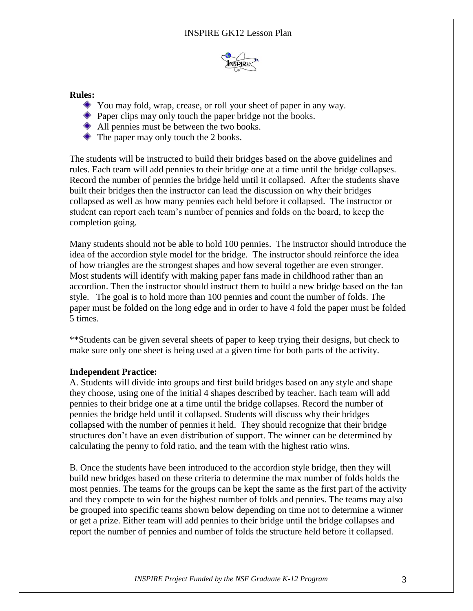

### **Rules:**

- You may fold, wrap, crease, or roll your sheet of paper in any way.
- **Paper clips may only touch the paper bridge not the books.**
- All pennies must be between the two books.
- The paper may only touch the 2 books.

The students will be instructed to build their bridges based on the above guidelines and rules. Each team will add pennies to their bridge one at a time until the bridge collapses. Record the number of pennies the bridge held until it collapsed. After the students shave built their bridges then the instructor can lead the discussion on why their bridges collapsed as well as how many pennies each held before it collapsed. The instructor or student can report each team's number of pennies and folds on the board, to keep the completion going.

Many students should not be able to hold 100 pennies. The instructor should introduce the idea of the accordion style model for the bridge. The instructor should reinforce the idea of how triangles are the strongest shapes and how several together are even stronger. Most students will identify with making paper fans made in childhood rather than an accordion. Then the instructor should instruct them to build a new bridge based on the fan style. The goal is to hold more than 100 pennies and count the number of folds. The paper must be folded on the long edge and in order to have 4 fold the paper must be folded 5 times.

\*\*Students can be given several sheets of paper to keep trying their designs, but check to make sure only one sheet is being used at a given time for both parts of the activity.

### **Independent Practice:**

A. Students will divide into groups and first build bridges based on any style and shape they choose, using one of the initial 4 shapes described by teacher. Each team will add pennies to their bridge one at a time until the bridge collapses. Record the number of pennies the bridge held until it collapsed. Students will discuss why their bridges collapsed with the number of pennies it held. They should recognize that their bridge structures don't have an even distribution of support. The winner can be determined by calculating the penny to fold ratio, and the team with the highest ratio wins.

B. Once the students have been introduced to the accordion style bridge, then they will build new bridges based on these criteria to determine the max number of folds holds the most pennies. The teams for the groups can be kept the same as the first part of the activity and they compete to win for the highest number of folds and pennies. The teams may also be grouped into specific teams shown below depending on time not to determine a winner or get a prize. Either team will add pennies to their bridge until the bridge collapses and report the number of pennies and number of folds the structure held before it collapsed.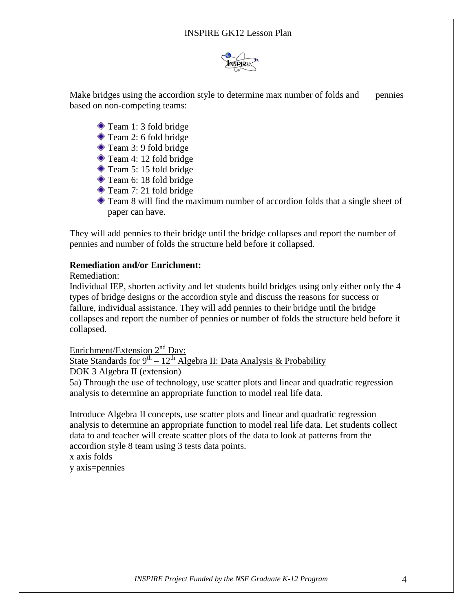

Make bridges using the accordion style to determine max number of folds and pennies based on non-competing teams:

- Team 1: 3 fold bridge
- Team 2: 6 fold bridge
- Team 3: 9 fold bridge
- Team 4: 12 fold bridge
- Team 5: 15 fold bridge
- Team 6: 18 fold bridge
- Team 7: 21 fold bridge
- Team 8 will find the maximum number of accordion folds that a single sheet of paper can have.

They will add pennies to their bridge until the bridge collapses and report the number of pennies and number of folds the structure held before it collapsed.

### **Remediation and/or Enrichment:**

### Remediation:

Individual IEP, shorten activity and let students build bridges using only either only the 4 types of bridge designs or the accordion style and discuss the reasons for success or failure, individual assistance. They will add pennies to their bridge until the bridge collapses and report the number of pennies or number of folds the structure held before it collapsed.

Enrichment/Extension  $2^{nd}$  Day:

State Standards for  $9^{th} - 12^{th}$  Algebra II: Data Analysis & Probability

DOK 3 Algebra II (extension)

5a) Through the use of technology, use scatter plots and linear and quadratic regression analysis to determine an appropriate function to model real life data.

Introduce Algebra II concepts, use scatter plots and linear and quadratic regression analysis to determine an appropriate function to model real life data. Let students collect data to and teacher will create scatter plots of the data to look at patterns from the accordion style 8 team using 3 tests data points.

x axis folds

y axis=pennies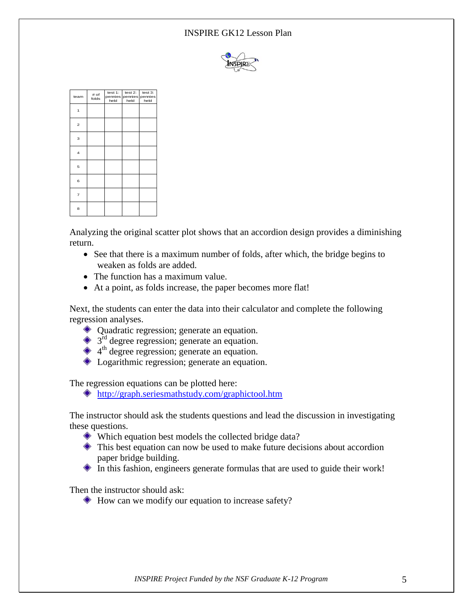### INSPIRE GK12 Lesson Plan



| team                    | # of<br>folds | test $1$ :<br>held | test $2$ :<br>pennies pennies pennies<br>held | test 3:<br>held |
|-------------------------|---------------|--------------------|-----------------------------------------------|-----------------|
| 1                       |               |                    |                                               |                 |
| $\overline{\mathbf{c}}$ |               |                    |                                               |                 |
| 3                       |               |                    |                                               |                 |
| $\overline{4}$          |               |                    |                                               |                 |
| 5                       |               |                    |                                               |                 |
| 6                       |               |                    |                                               |                 |
| $\overline{7}$          |               |                    |                                               |                 |
| 8                       |               |                    |                                               |                 |

Analyzing the original scatter plot shows that an accordion design provides a diminishing return.

- See that there is a maximum number of folds, after which, the bridge begins to weaken as folds are added.
- The function has a maximum value.
- At a point, as folds increase, the paper becomes more flat!

Next, the students can enter the data into their calculator and complete the following regression analyses.

- Quadratic regression; generate an equation.
- $3<sup>rd</sup>$  degree regression; generate an equation.
- 4<sup>th</sup> degree regression; generate an equation.
- ◆ Logarithmic regression; generate an equation.

The regression equations can be plotted here:

<http://graph.seriesmathstudy.com/graphictool.htm>

The instructor should ask the students questions and lead the discussion in investigating these questions.

- Which equation best models the collected bridge data?
- $\bullet$  This best equation can now be used to make future decisions about accordion paper bridge building.
- In this fashion, engineers generate formulas that are used to guide their work!

Then the instructor should ask:

 $\bullet$  How can we modify our equation to increase safety?